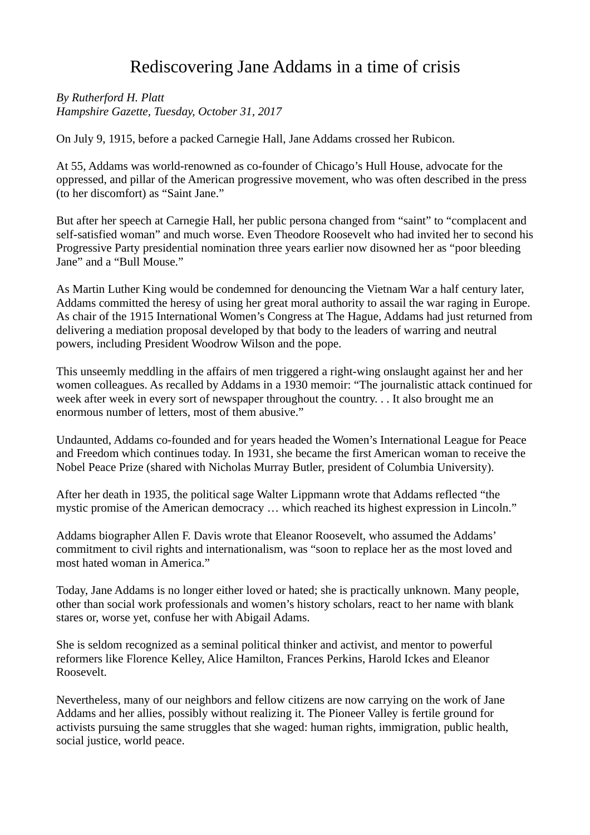## Rediscovering Jane Addams in a time of crisis

*By Rutherford H. Platt Hampshire Gazette, Tuesday, October 31, 2017*

On July 9, 1915, before a packed Carnegie Hall, Jane Addams crossed her Rubicon.

At 55, Addams was world-renowned as co-founder of Chicago's Hull House, advocate for the oppressed, and pillar of the American progressive movement, who was often described in the press (to her discomfort) as "Saint Jane."

But after her speech at Carnegie Hall, her public persona changed from "saint" to "complacent and self-satisfied woman" and much worse. Even Theodore Roosevelt who had invited her to second his Progressive Party presidential nomination three years earlier now disowned her as "poor bleeding Jane" and a "Bull Mouse."

As Martin Luther King would be condemned for denouncing the Vietnam War a half century later, Addams committed the heresy of using her great moral authority to assail the war raging in Europe. As chair of the 1915 International Women's Congress at The Hague, Addams had just returned from delivering a mediation proposal developed by that body to the leaders of warring and neutral powers, including President Woodrow Wilson and the pope.

This unseemly meddling in the affairs of men triggered a right-wing onslaught against her and her women colleagues. As recalled by Addams in a 1930 memoir: "The journalistic attack continued for week after week in every sort of newspaper throughout the country. . . It also brought me an enormous number of letters, most of them abusive."

Undaunted, Addams co-founded and for years headed the Women's International League for Peace and Freedom which continues today. In 1931, she became the first American woman to receive the Nobel Peace Prize (shared with Nicholas Murray Butler, president of Columbia University).

After her death in 1935, the political sage Walter Lippmann wrote that Addams reflected "the mystic promise of the American democracy … which reached its highest expression in Lincoln."

Addams biographer Allen F. Davis wrote that Eleanor Roosevelt, who assumed the Addams' commitment to civil rights and internationalism, was "soon to replace her as the most loved and most hated woman in America."

Today, Jane Addams is no longer either loved or hated; she is practically unknown. Many people, other than social work professionals and women's history scholars, react to her name with blank stares or, worse yet, confuse her with Abigail Adams.

She is seldom recognized as a seminal political thinker and activist, and mentor to powerful reformers like Florence Kelley, Alice Hamilton, Frances Perkins, Harold Ickes and Eleanor Roosevelt.

Nevertheless, many of our neighbors and fellow citizens are now carrying on the work of Jane Addams and her allies, possibly without realizing it. The Pioneer Valley is fertile ground for activists pursuing the same struggles that she waged: human rights, immigration, public health, social justice, world peace.